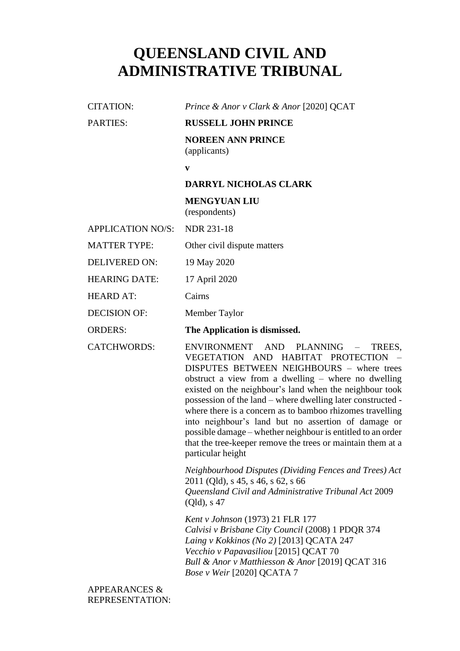# **QUEENSLAND CIVIL AND ADMINISTRATIVE TRIBUNAL**

CITATION: *Prince & Anor v Clark & Anor* [2020] QCAT PARTIES: **RUSSELL JOHN PRINCE** 

> **NOREEN ANN PRINCE** (applicants)

**v**

# **DARRYL NICHOLAS CLARK**

**MENGYUAN LIU** (respondents)

APPLICATION NO/S: NDR 231-18

MATTER TYPE: Other civil dispute matters

DELIVERED ON: 19 May 2020

HEARING DATE: 17 April 2020

HEARD AT: Cairns

DECISION OF: Member Taylor

ORDERS: **The Application is dismissed.**

CATCHWORDS: ENVIRONMENT AND PLANNING – TREES, VEGETATION AND HABITAT PROTECTION – DISPUTES BETWEEN NEIGHBOURS – where trees obstruct a view from a dwelling – where no dwelling existed on the neighbour's land when the neighbour took possession of the land – where dwelling later constructed where there is a concern as to bamboo rhizomes travelling into neighbour's land but no assertion of damage or possible damage – whether neighbour is entitled to an order that the tree-keeper remove the trees or maintain them at a particular height

> *Neighbourhood Disputes (Dividing Fences and Trees) Act*  2011 (Qld), s 45, s 46, s 62, s 66 *Queensland Civil and Administrative Tribunal Act* 2009 (Qld), s 47

*Kent v Johnson* (1973) 21 FLR 177 *Calvisi v Brisbane City Council* (2008) 1 PDQR 374 *Laing v Kokkinos (No 2)* [2013] QCATA 247 *Vecchio v Papavasiliou* [2015] QCAT 70 *Bull & Anor v Matthiesson & Anor* [2019] QCAT 316 *Bose v Weir* [2020] QCATA 7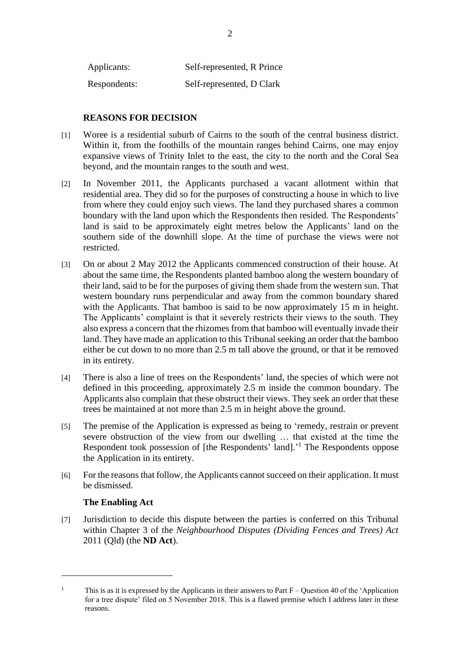| Applicants:  | Self-represented, R Prince |
|--------------|----------------------------|
| Respondents: | Self-represented, D Clark  |

# **REASONS FOR DECISION**

- [1] Woree is a residential suburb of Cairns to the south of the central business district. Within it, from the foothills of the mountain ranges behind Cairns, one may enjoy expansive views of Trinity Inlet to the east, the city to the north and the Coral Sea beyond, and the mountain ranges to the south and west.
- [2] In November 2011, the Applicants purchased a vacant allotment within that residential area. They did so for the purposes of constructing a house in which to live from where they could enjoy such views. The land they purchased shares a common boundary with the land upon which the Respondents then resided. The Respondents' land is said to be approximately eight metres below the Applicants' land on the southern side of the downhill slope. At the time of purchase the views were not restricted.
- [3] On or about 2 May 2012 the Applicants commenced construction of their house. At about the same time, the Respondents planted bamboo along the western boundary of their land, said to be for the purposes of giving them shade from the western sun. That western boundary runs perpendicular and away from the common boundary shared with the Applicants. That bamboo is said to be now approximately 15 m in height. The Applicants' complaint is that it severely restricts their views to the south. They also express a concern that the rhizomes from that bamboo will eventually invade their land. They have made an application to this Tribunal seeking an order that the bamboo either be cut down to no more than 2.5 m tall above the ground, or that it be removed in its entirety.
- [4] There is also a line of trees on the Respondents' land, the species of which were not defined in this proceeding, approximately 2.5 m inside the common boundary. The Applicants also complain that these obstruct their views. They seek an order that these trees be maintained at not more than 2.5 m in height above the ground.
- [5] The premise of the Application is expressed as being to 'remedy, restrain or prevent severe obstruction of the view from our dwelling … that existed at the time the Respondent took possession of [the Respondents' land].<sup>1</sup> The Respondents oppose the Application in its entirety.
- [6] For the reasons that follow, the Applicants cannot succeed on their application. It must be dismissed.

### **The Enabling Act**

[7] Jurisdiction to decide this dispute between the parties is conferred on this Tribunal within Chapter 3 of the *Neighbourhood Disputes (Dividing Fences and Trees) Act*  2011 (Qld) (the **ND Act**).

<sup>&</sup>lt;sup>1</sup> This is as it is expressed by the Applicants in their answers to Part  $F -$ Ouestion 40 of the 'Application for a tree dispute' filed on 5 November 2018. This is a flawed premise which I address later in these reasons.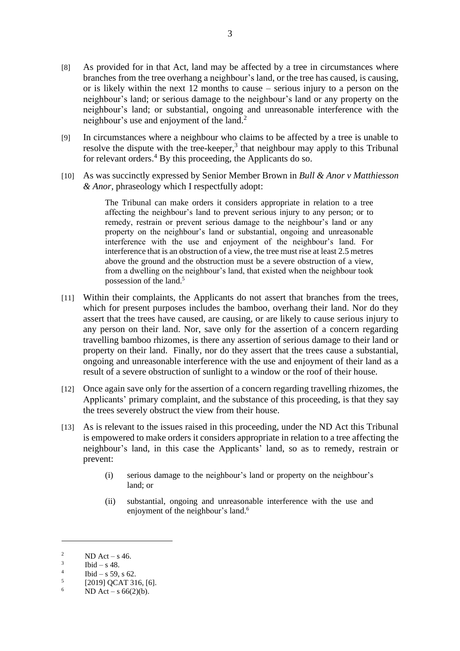- [8] As provided for in that Act, land may be affected by a tree in circumstances where branches from the tree overhang a neighbour's land, or the tree has caused, is causing, or is likely within the next 12 months to cause – serious injury to a person on the neighbour's land; or serious damage to the neighbour's land or any property on the neighbour's land; or substantial, ongoing and unreasonable interference with the neighbour's use and enjoyment of the land. 2
- [9] In circumstances where a neighbour who claims to be affected by a tree is unable to resolve the dispute with the tree-keeper,<sup>3</sup> that neighbour may apply to this Tribunal for relevant orders. <sup>4</sup> By this proceeding, the Applicants do so.
- [10] As was succinctly expressed by Senior Member Brown in *Bull & Anor v Matthiesson & Anor,* phraseology which I respectfully adopt:

The Tribunal can make orders it considers appropriate in relation to a tree affecting the neighbour's land to prevent serious injury to any person; or to remedy, restrain or prevent serious damage to the neighbour's land or any property on the neighbour's land or substantial, ongoing and unreasonable interference with the use and enjoyment of the neighbour's land. For interference that is an obstruction of a view, the tree must rise at least 2.5 metres above the ground and the obstruction must be a severe obstruction of a view, from a dwelling on the neighbour's land, that existed when the neighbour took possession of the land.<sup>5</sup>

- [11] Within their complaints, the Applicants do not assert that branches from the trees, which for present purposes includes the bamboo, overhang their land. Nor do they assert that the trees have caused, are causing, or are likely to cause serious injury to any person on their land. Nor, save only for the assertion of a concern regarding travelling bamboo rhizomes, is there any assertion of serious damage to their land or property on their land. Finally, nor do they assert that the trees cause a substantial, ongoing and unreasonable interference with the use and enjoyment of their land as a result of a severe obstruction of sunlight to a window or the roof of their house.
- [12] Once again save only for the assertion of a concern regarding travelling rhizomes, the Applicants' primary complaint, and the substance of this proceeding, is that they say the trees severely obstruct the view from their house.
- [13] As is relevant to the issues raised in this proceeding, under the ND Act this Tribunal is empowered to make orders it considers appropriate in relation to a tree affecting the neighbour's land, in this case the Applicants' land, so as to remedy, restrain or prevent:
	- (i) serious damage to the neighbour's land or property on the neighbour's land; or
	- (ii) substantial, ongoing and unreasonable interference with the use and enjoyment of the neighbour's land.<sup>6</sup>

<sup>&</sup>lt;sup>2</sup> ND Act – s 46.

<sup>3</sup> Ibid – s  $48$ .

<sup>4</sup> Ibid – s 59, s 62.

<sup>5</sup> [2019] QCAT 316, [6].

<sup>6</sup> ND Act – s  $66(2)(b)$ .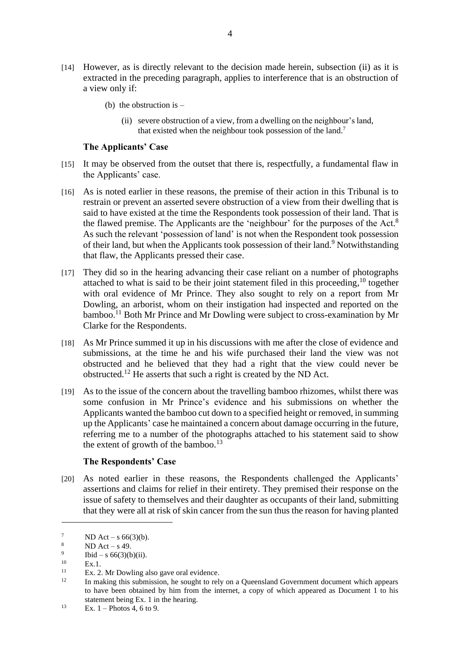- [14] However, as is directly relevant to the decision made herein, subsection (ii) as it is extracted in the preceding paragraph, applies to interference that is an obstruction of a view only if:
	- (b) the obstruction is  $-$ 
		- (ii) severe obstruction of a view, from a dwelling on the neighbour's land, that existed when the neighbour took possession of the land.<sup>7</sup>

#### **The Applicants' Case**

- [15] It may be observed from the outset that there is, respectfully, a fundamental flaw in the Applicants' case.
- [16] As is noted earlier in these reasons, the premise of their action in this Tribunal is to restrain or prevent an asserted severe obstruction of a view from their dwelling that is said to have existed at the time the Respondents took possession of their land. That is the flawed premise. The Applicants are the 'neighbour' for the purposes of the Act.<sup>8</sup> As such the relevant 'possession of land' is not when the Respondent took possession of their land, but when the Applicants took possession of their land.<sup>9</sup> Notwithstanding that flaw, the Applicants pressed their case.
- [17] They did so in the hearing advancing their case reliant on a number of photographs attached to what is said to be their joint statement filed in this proceeding,<sup>10</sup> together with oral evidence of Mr Prince. They also sought to rely on a report from Mr Dowling, an arborist, whom on their instigation had inspected and reported on the bamboo.<sup>11</sup> Both Mr Prince and Mr Dowling were subject to cross-examination by Mr Clarke for the Respondents.
- [18] As Mr Prince summed it up in his discussions with me after the close of evidence and submissions, at the time he and his wife purchased their land the view was not obstructed and he believed that they had a right that the view could never be obstructed.<sup>12</sup> He asserts that such a right is created by the ND Act.
- [19] As to the issue of the concern about the travelling bamboo rhizomes, whilst there was some confusion in Mr Prince's evidence and his submissions on whether the Applicants wanted the bamboo cut down to a specified height or removed, in summing up the Applicants' case he maintained a concern about damage occurring in the future, referring me to a number of the photographs attached to his statement said to show the extent of growth of the bamboo.<sup>13</sup>

# **The Respondents' Case**

[20] As noted earlier in these reasons, the Respondents challenged the Applicants' assertions and claims for relief in their entirety. They premised their response on the issue of safety to themselves and their daughter as occupants of their land, submitting that they were all at risk of skin cancer from the sun thus the reason for having planted

 $^{7}$  ND Act – s 66(3)(b).<br>8 ND Act s 49

 $ND$  Act – s 49.

<sup>9</sup> Ibid – s  $66(3)(b)(ii)$ .

 $10$  Ex.1.<br>11 Ex. 2

 $11$  Ex. 2. Mr Dowling also gave oral evidence.

<sup>12</sup> In making this submission, he sought to rely on a Queensland Government document which appears to have been obtained by him from the internet, a copy of which appeared as Document 1 to his statement being Ex. 1 in the hearing.

<sup>&</sup>lt;sup>13</sup> Ex. 1 – Photos 4, 6 to 9.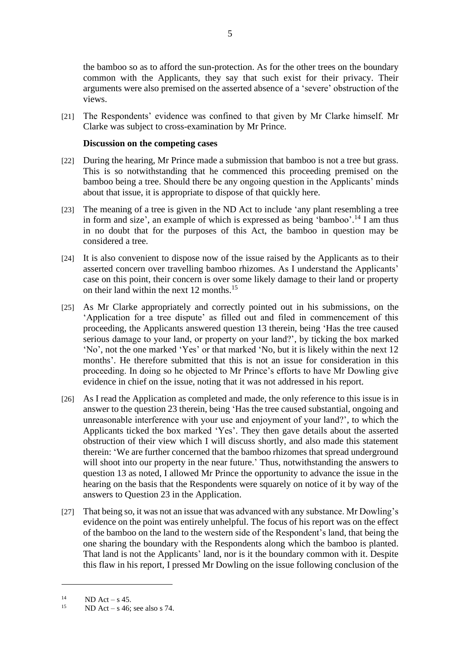the bamboo so as to afford the sun-protection. As for the other trees on the boundary common with the Applicants, they say that such exist for their privacy. Their arguments were also premised on the asserted absence of a 'severe' obstruction of the views.

[21] The Respondents' evidence was confined to that given by Mr Clarke himself. Mr Clarke was subject to cross-examination by Mr Prince.

#### **Discussion on the competing cases**

- [22] During the hearing, Mr Prince made a submission that bamboo is not a tree but grass. This is so notwithstanding that he commenced this proceeding premised on the bamboo being a tree. Should there be any ongoing question in the Applicants' minds about that issue, it is appropriate to dispose of that quickly here.
- [23] The meaning of a tree is given in the ND Act to include 'any plant resembling a tree in form and size', an example of which is expressed as being 'bamboo'. <sup>14</sup> I am thus in no doubt that for the purposes of this Act, the bamboo in question may be considered a tree.
- [24] It is also convenient to dispose now of the issue raised by the Applicants as to their asserted concern over travelling bamboo rhizomes. As I understand the Applicants' case on this point, their concern is over some likely damage to their land or property on their land within the next 12 months. 15
- [25] As Mr Clarke appropriately and correctly pointed out in his submissions, on the 'Application for a tree dispute' as filled out and filed in commencement of this proceeding, the Applicants answered question 13 therein, being 'Has the tree caused serious damage to your land, or property on your land?', by ticking the box marked 'No', not the one marked 'Yes' or that marked 'No, but it is likely within the next 12 months'. He therefore submitted that this is not an issue for consideration in this proceeding. In doing so he objected to Mr Prince's efforts to have Mr Dowling give evidence in chief on the issue, noting that it was not addressed in his report.
- [26] As I read the Application as completed and made, the only reference to this issue is in answer to the question 23 therein, being 'Has the tree caused substantial, ongoing and unreasonable interference with your use and enjoyment of your land?', to which the Applicants ticked the box marked 'Yes'. They then gave details about the asserted obstruction of their view which I will discuss shortly, and also made this statement therein: 'We are further concerned that the bamboo rhizomes that spread underground will shoot into our property in the near future.' Thus, notwithstanding the answers to question 13 as noted, I allowed Mr Prince the opportunity to advance the issue in the hearing on the basis that the Respondents were squarely on notice of it by way of the answers to Question 23 in the Application.
- [27] That being so, it was not an issue that was advanced with any substance. Mr Dowling's evidence on the point was entirely unhelpful. The focus of his report was on the effect of the bamboo on the land to the western side of the Respondent's land, that being the one sharing the boundary with the Respondents along which the bamboo is planted. That land is not the Applicants' land, nor is it the boundary common with it. Despite this flaw in his report, I pressed Mr Dowling on the issue following conclusion of the

<sup>&</sup>lt;sup>14</sup> ND Act – s 45.

 $ND$  Act – s 46; see also s 74.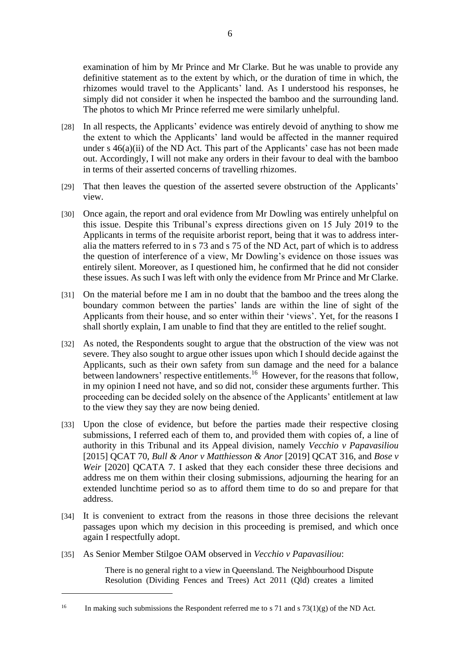examination of him by Mr Prince and Mr Clarke. But he was unable to provide any definitive statement as to the extent by which, or the duration of time in which, the rhizomes would travel to the Applicants' land. As I understood his responses, he simply did not consider it when he inspected the bamboo and the surrounding land. The photos to which Mr Prince referred me were similarly unhelpful.

- [28] In all respects, the Applicants' evidence was entirely devoid of anything to show me the extent to which the Applicants' land would be affected in the manner required under s  $46(a)(ii)$  of the ND Act. This part of the Applicants' case has not been made out. Accordingly, I will not make any orders in their favour to deal with the bamboo in terms of their asserted concerns of travelling rhizomes.
- [29] That then leaves the question of the asserted severe obstruction of the Applicants' view.
- [30] Once again, the report and oral evidence from Mr Dowling was entirely unhelpful on this issue. Despite this Tribunal's express directions given on 15 July 2019 to the Applicants in terms of the requisite arborist report, being that it was to address interalia the matters referred to in s 73 and s 75 of the ND Act, part of which is to address the question of interference of a view, Mr Dowling's evidence on those issues was entirely silent. Moreover, as I questioned him, he confirmed that he did not consider these issues. As such I was left with only the evidence from Mr Prince and Mr Clarke.
- [31] On the material before me I am in no doubt that the bamboo and the trees along the boundary common between the parties' lands are within the line of sight of the Applicants from their house, and so enter within their 'views'. Yet, for the reasons I shall shortly explain, I am unable to find that they are entitled to the relief sought.
- [32] As noted, the Respondents sought to argue that the obstruction of the view was not severe. They also sought to argue other issues upon which I should decide against the Applicants, such as their own safety from sun damage and the need for a balance between landowners' respective entitlements.<sup>16</sup> However, for the reasons that follow, in my opinion I need not have, and so did not, consider these arguments further. This proceeding can be decided solely on the absence of the Applicants' entitlement at law to the view they say they are now being denied.
- [33] Upon the close of evidence, but before the parties made their respective closing submissions, I referred each of them to, and provided them with copies of, a line of authority in this Tribunal and its Appeal division, namely *Vecchio v Papavasiliou*  [2015] QCAT 70, *Bull & Anor v Matthiesson & Anor* [2019] QCAT 316, and *Bose v Weir* [2020] QCATA 7. I asked that they each consider these three decisions and address me on them within their closing submissions, adjourning the hearing for an extended lunchtime period so as to afford them time to do so and prepare for that address.
- [34] It is convenient to extract from the reasons in those three decisions the relevant passages upon which my decision in this proceeding is premised, and which once again I respectfully adopt.
- [35] As Senior Member Stilgoe OAM observed in *Vecchio v Papavasiliou*:

There is no general right to a view in Queensland. The Neighbourhood Dispute Resolution (Dividing Fences and Trees) Act 2011 (Qld) creates a limited

<sup>&</sup>lt;sup>16</sup> In making such submissions the Respondent referred me to s 71 and s 73(1)(g) of the ND Act.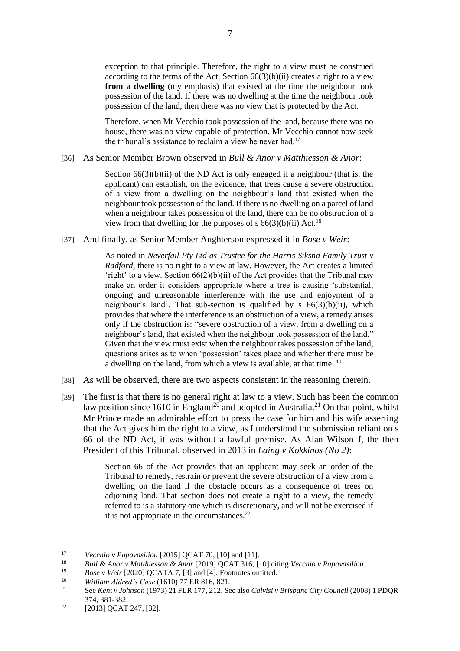exception to that principle. Therefore, the right to a view must be construed according to the terms of the Act. Section  $66(3)(b)(ii)$  creates a right to a view **from a dwelling** (my emphasis) that existed at the time the neighbour took possession of the land. If there was no dwelling at the time the neighbour took possession of the land, then there was no view that is protected by the Act.

Therefore, when Mr Vecchio took possession of the land, because there was no house, there was no view capable of protection. Mr Vecchio cannot now seek the tribunal's assistance to reclaim a view he never had.<sup>17</sup>

#### [36] As Senior Member Brown observed in *Bull & Anor v Matthiesson & Anor*:

Section  $66(3)(b)(ii)$  of the ND Act is only engaged if a neighbour (that is, the applicant) can establish, on the evidence, that trees cause a severe obstruction of a view from a dwelling on the neighbour's land that existed when the neighbour took possession of the land. If there is no dwelling on a parcel of land when a neighbour takes possession of the land, there can be no obstruction of a view from that dwelling for the purposes of s  $66(3)(b)(ii)$  Act.<sup>18</sup>

[37] And finally, as Senior Member Aughterson expressed it in *Bose v Weir*:

As noted in *Neverfail Pty Ltd as Trustee for the Harris Siksna Family Trust v Radford*, there is no right to a view at law. However, the Act creates a limited 'right' to a view. Section  $66(2)(b)(ii)$  of the Act provides that the Tribunal may make an order it considers appropriate where a tree is causing 'substantial, ongoing and unreasonable interference with the use and enjoyment of a neighbour's land'. That sub-section is qualified by  $s$  66(3)(b)(ii), which provides that where the interference is an obstruction of a view, a remedy arises only if the obstruction is: "severe obstruction of a view, from a dwelling on a neighbour's land, that existed when the neighbour took possession of the land." Given that the view must exist when the neighbour takes possession of the land, questions arises as to when 'possession' takes place and whether there must be a dwelling on the land, from which a view is available, at that time. <sup>19</sup>

- [38] As will be observed, there are two aspects consistent in the reasoning therein.
- [39] The first is that there is no general right at law to a view. Such has been the common law position since 1610 in England<sup>20</sup> and adopted in Australia.<sup>21</sup> On that point, whilst Mr Prince made an admirable effort to press the case for him and his wife asserting that the Act gives him the right to a view, as I understood the submission reliant on s 66 of the ND Act, it was without a lawful premise. As Alan Wilson J, the then President of this Tribunal, observed in 2013 in *Laing v Kokkinos (No 2)*:

Section 66 of the Act provides that an applicant may seek an order of the Tribunal to remedy, restrain or prevent the severe obstruction of a view from a dwelling on the land if the obstacle occurs as a consequence of trees on adjoining land. That section does not create a right to a view, the remedy referred to is a statutory one which is discretionary, and will not be exercised if it is not appropriate in the circumstances. $^{22}$ 

<sup>19</sup> *Bose v Weir* [2020] QCATA 7, [3] and [4]. Footnotes omitted.<br><sup>20</sup> *William Aldred's Case* (1610) 77 ED 816, 821

<sup>17</sup> *Vecchio v Papavasiliou* [2015] QCAT 70, [10] and [11].

<sup>18</sup> *Bull & Anor v Matthiesson & Anor* [2019] QCAT 316, [10] citing *Vecchio v Papavasiliou*.

<sup>20</sup> *William Aldred's Case* (1610) 77 ER 816, 821.

<sup>21</sup> See *Kent v Johnson* (1973) 21 FLR 177, 212. See also *Calvisi v Brisbane City Council* (2008) 1 PDQR 374, 381-382.

 $22$  [2013] QCAT 247, [32].